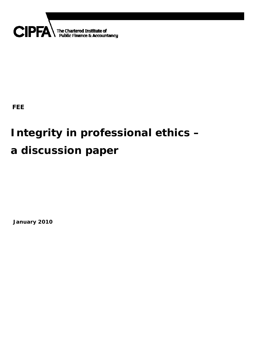

## **FEE**

## **Integrity in professional ethics – a discussion paper**

**January 2010**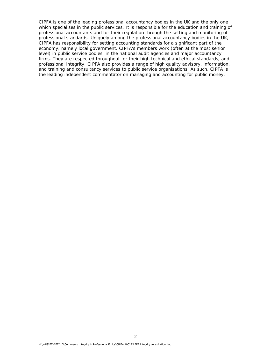CIPFA is one of the leading professional accountancy bodies in the UK and the only one which specialises in the public services. It is responsible for the education and training of professional accountants and for their regulation through the setting and monitoring of professional standards. Uniquely among the professional accountancy bodies in the UK, CIPFA has responsibility for setting accounting standards for a significant part of the economy, namely local government. CIPFA's members work (often at the most senior level) in public service bodies, in the national audit agencies and major accountancy firms. They are respected throughout for their high technical and ethical standards, and professional integrity. CIPFA also provides a range of high quality advisory, information, and training and consultancy services to public service organisations. As such, CIPFA is the leading independent commentator on managing and accounting for public money.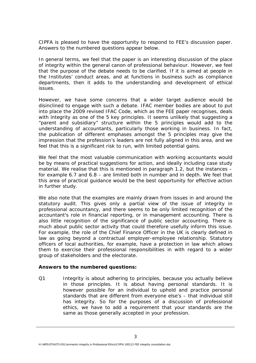CIPFA is pleased to have the opportunity to respond to FEE's discussion paper. Answers to the numbered questions appear below.

In general terms, we feel that the paper is an interesting discussion of the place of integrity within the general canon of professional behaviour. However, we feel that the purpose of the debate needs to be clarified. If it is aimed at people in the Institutes' conduct areas, and at functions in business such as compliance departments, then it adds to the understanding and development of ethical issues.

However, we have some concerns that a wider target audience would be disinclined to engage with such a debate. IFAC member bodies are about to put into place the 2009 revised IFAC Code, which as the FEE paper recognises, deals with integrity as one of the 5 key principles. It seems unlikely that suggesting a "parent and subsidiary" structure within the 5 principles would add to the understanding of accountants, particularly those working in business. In fact, the publication of different emphases amongst the 5 principles may give the impression that the profession's leaders are not fully aligned in this area, and we feel that this is a significant risk to run, with limited potential gains.

We feel that the most valuable communication with working accountants would be by means of practical suggestions for action, and ideally including case study material. We realise that this is mentioned in paragraph 1.2, but the instances – for example 6.7 and 6.8 – are limited both in number and in depth. We feel that this area of practical guidance would be the best opportunity for effective action in further study.

We also note that the examples are mainly drawn from issues in and around the statutory audit. This gives only a partial view of the issue of integrity in professional accountancy, and there seems to be only limited recognition of the accountant's role in financial reporting, or in management accounting. There is also little recognition of the significance of public sector accounting. There is much about public sector activity that could therefore usefully inform this issue. For example, the role of the Chief Finance Officer in the UK is clearly defined in law as going beyond a contractual employer-employee relationship. Statutory officers of local authorities, for example, have a protection in law which allows them to exercise their professional responsibilities in with regard to a wider group of stakeholders and the electorate.

## **Answers to the numbered questions:**

Q1 Integrity is about adhering to principles, because you actually believe in those principles. It is about having personal standards. It is however possible for an individual to uphold and practice personal standards that are different from everyone else's – that individual still has integrity. So for the purposes of a discussion of professional ethics, we have to add a requirement that your standards are the same as those generally accepted in your profession.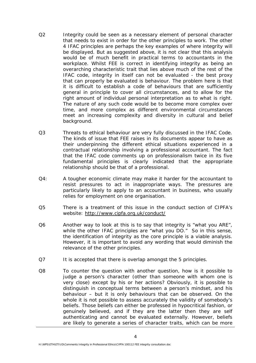- Q2 Integrity could be seen as a necessary element of personal character that needs to exist in order for the other principles to work. The other 4 IFAC principles are perhaps the key examples of where integrity will be displayed. But as suggested above, it is not clear that this analysis would be of much benefit in practical terms to accountants in the workplace. Whilst FEE is correct in identifying integrity as being an overarching characteristic trait that lies above much of the rest of the IFAC code, integrity in itself can not be evaluated - the best proxy that can properly be evaluated is behaviour. The problem here is that it is difficult to establish a code of behaviours that are sufficiently general in principle to cover all circumstances, and to allow for the right amount of individual personal interpretation as to what is right. The nature of any such code would be to become more complex over time, and more complex as different environmental circumstances meet an increasing complexity and diversity in cultural and belief background.
- Q3 Threats to ethical behaviour are very fully discussed in the IFAC Code. The kinds of issue that FEE raises in its documents appear to have as their underpinning the different ethical situations experienced in a contractual relationship involving a professional accountant. The fact that the IFAC code comments up on professionalism twice in its five fundamental principles is clearly indicated that the appropriate relationship should be that of a professional.
- Q4: A tougher economic climate may make it harder for the accountant to resist pressures to act in inappropriate ways. The pressures are particularly likely to apply to an accountant in business, who usually relies for employment on one organisation.
- Q5 There is a treatment of this issue in the conduct section of CIPFA's website: http://www.cipfa.org.uk/conduct/
- Q6 Another way to look at this is to say that integrity is "what you ARE", while the other IFAC principles are "what you DO." So in this sense, the identification of integrity as the core principle is a viable analysis. However, it is important to avoid any wording that would diminish the relevance of the other principles.
- Q7 It is accepted that there is overlap amongst the 5 principles.
- Q8 To counter the question with another question, how is it possible to judge a person's character (other than someone with whom one is very close) except by his or her actions? Obviously, it is possible to distinguish in conceptual terms between a person's mindset, and his behaviour – but it is only behaviours that can be observed. On the whole it is not possible to assess accurately the validity of somebody's beliefs. Those beliefs can either be professed in hypocritical fashion, or genuinely believed, and if they are the latter then they are self authenticating and cannot be evaluated externally. However, beliefs are likely to generate a series of character traits, which can be more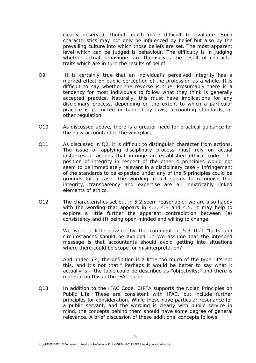clearly observed, though much more difficult to evaluate. Such characteristics may not only be influenced by belief but also by the prevailing culture into which those beliefs are set. The most apparent level which can be judged is behaviour. The difficulty is in judging whether actual behaviours are themselves the result of character traits which are in turn the results of belief.

- Q9 It is certainly true that an individual's perceived integrity has a marked effect on public perception of the profession as a whole. It is difficult to say whether the reverse is true. Presumably there is a tendency for most individuals to follow what they think is generally accepted practice. Naturally, this must have implications for any disciplinary process, depending on the extent to which a particular practice is permitted or banned by laws, accounting standards, or other regulation.
- Q10 As discussed above, there is a greater need for practical guidance for the busy accountant in the workplace.
- Q11 As discussed in Q2, it is difficult to distinguish character from actions. The issue of applying disciplinary process must rely on actual instances of actions that infringe an established ethical code. The position of integrity in respect of the other 4 principles would not seem to be immediately relevant in a disciplinary case – infringement of the standards to be expected under any of the 5 principles could be grounds for a case. The wording in 5.1 seems to recognise that integrity, transparency and expertise are all inextricably linked elements of ethics.
- Q12 The characteristics set out in 5.2 seem reasonable; we are also happy with the wording that appears in 4.1, 4.3 and 4.5. It may help to explore a little further the apparent contradiction between (e) consistency and (f) being open minded and willing to change.

 We were a little puzzled by the comment in 5.3 that "facts and circumstances should be avoided …" We assume that the intended message is that accountants should avoid getting into situations where there could be scope for misinterpretation?

 And under 5.4, the definition is a little too much of the type "it's not this, and it's not that." Perhaps it would be better to say what it actually is – the topic could be described as "objectivity," and there is material on this in the IFAC Code.

Q13 In addition to the IFAC Code, CIPFA supports the Nolan Principles on Public Life. These are consistent with IFAC, but include further principles for consideration. While these have particular resonance for a public servant, and the wording is clearly with public service in mind, the concepts behind them should have some degree of general relevance. A brief discussion of these additional concepts follows: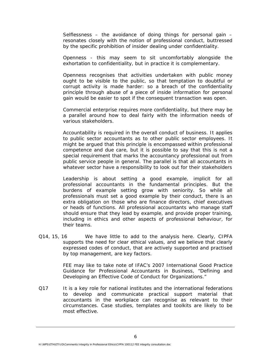Selflessness  $-$  the avoidance of doing things for personal gain  $$ resonates closely with the notion of professional conduct, buttressed by the specific prohibition of insider dealing under confidentiality.

 Openness - this may seem to sit uncomfortably alongside the exhortation to confidentiality, but in practice it is complementary.

 Openness recognises that activities undertaken with public money ought to be visible to the public, so that temptation to doubtful or corrupt activity is made harder: so a breach of the confidentiality principle through abuse of a piece of inside information for personal gain would be easier to spot if the consequent transaction was open.

 Commercial enterprise requires more confidentiality, but there may be a parallel around how to deal fairly with the information needs of various stakeholders.

 Accountability is required in the overall conduct of business. It applies to public sector accountants as to other public sector employees. It might be argued that this principle is encompassed within professional competence and due care, but it is possible to say that this is not a special requirement that marks the accountancy professional out from public service people in general. The parallel is that all accountants in whatever sector have a responsibility to look out for their stakeholders

 Leadership is about setting a good example, implicit for all professional accountants in the fundamental principles. But the burdens of example setting grow with seniority. So while all professionals must set a good example by their conduct, there is an extra obligation on those who are finance directors, chief executives or heads of functions. All professional accountants who manage staff should ensure that they lead by example, and provide proper training, including in ethics and other aspects of professional behaviour, for their teams.

Q14, 15, 16 We have little to add to the analysis here. Clearly, CIPFA supports the need for clear ethical values, and we believe that clearly expressed codes of conduct, that are actively supported and practised by top management, are key factors.

> FEE may like to take note of IFAC's 2007 International Good Practice Guidance for Professional Accountants in Business, "Defining and Developing an Effective Code of Conduct for Organizations."

Q17 It is a key role for national institutes and the international federations to develop and communicate practical support material that accountants in the workplace can recognise as relevant to their circumstances. Case studies, templates and toolkits are likely to be most effective.